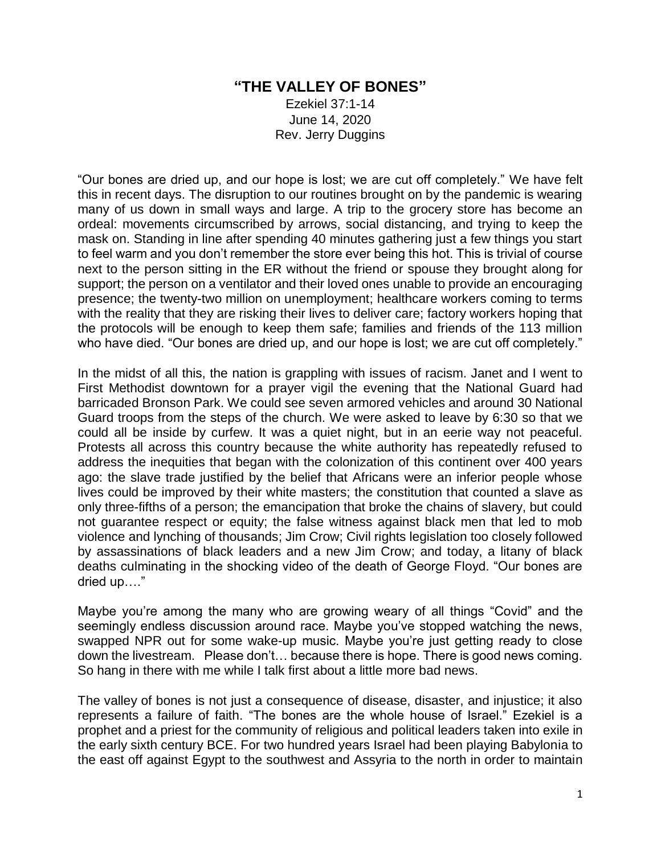## **"THE VALLEY OF BONES"**

Ezekiel 37:1-14 June 14, 2020 Rev. Jerry Duggins

"Our bones are dried up, and our hope is lost; we are cut off completely." We have felt this in recent days. The disruption to our routines brought on by the pandemic is wearing many of us down in small ways and large. A trip to the grocery store has become an ordeal: movements circumscribed by arrows, social distancing, and trying to keep the mask on. Standing in line after spending 40 minutes gathering just a few things you start to feel warm and you don't remember the store ever being this hot. This is trivial of course next to the person sitting in the ER without the friend or spouse they brought along for support; the person on a ventilator and their loved ones unable to provide an encouraging presence; the twenty-two million on unemployment; healthcare workers coming to terms with the reality that they are risking their lives to deliver care; factory workers hoping that the protocols will be enough to keep them safe; families and friends of the 113 million who have died. "Our bones are dried up, and our hope is lost; we are cut off completely."

In the midst of all this, the nation is grappling with issues of racism. Janet and I went to First Methodist downtown for a prayer vigil the evening that the National Guard had barricaded Bronson Park. We could see seven armored vehicles and around 30 National Guard troops from the steps of the church. We were asked to leave by 6:30 so that we could all be inside by curfew. It was a quiet night, but in an eerie way not peaceful. Protests all across this country because the white authority has repeatedly refused to address the inequities that began with the colonization of this continent over 400 years ago: the slave trade justified by the belief that Africans were an inferior people whose lives could be improved by their white masters; the constitution that counted a slave as only three-fifths of a person; the emancipation that broke the chains of slavery, but could not guarantee respect or equity; the false witness against black men that led to mob violence and lynching of thousands; Jim Crow; Civil rights legislation too closely followed by assassinations of black leaders and a new Jim Crow; and today, a litany of black deaths culminating in the shocking video of the death of George Floyd. "Our bones are dried up…."

Maybe you're among the many who are growing weary of all things "Covid" and the seemingly endless discussion around race. Maybe you've stopped watching the news, swapped NPR out for some wake-up music. Maybe you're just getting ready to close down the livestream. Please don't… because there is hope. There is good news coming. So hang in there with me while I talk first about a little more bad news.

The valley of bones is not just a consequence of disease, disaster, and injustice; it also represents a failure of faith. "The bones are the whole house of Israel." Ezekiel is a prophet and a priest for the community of religious and political leaders taken into exile in the early sixth century BCE. For two hundred years Israel had been playing Babylonia to the east off against Egypt to the southwest and Assyria to the north in order to maintain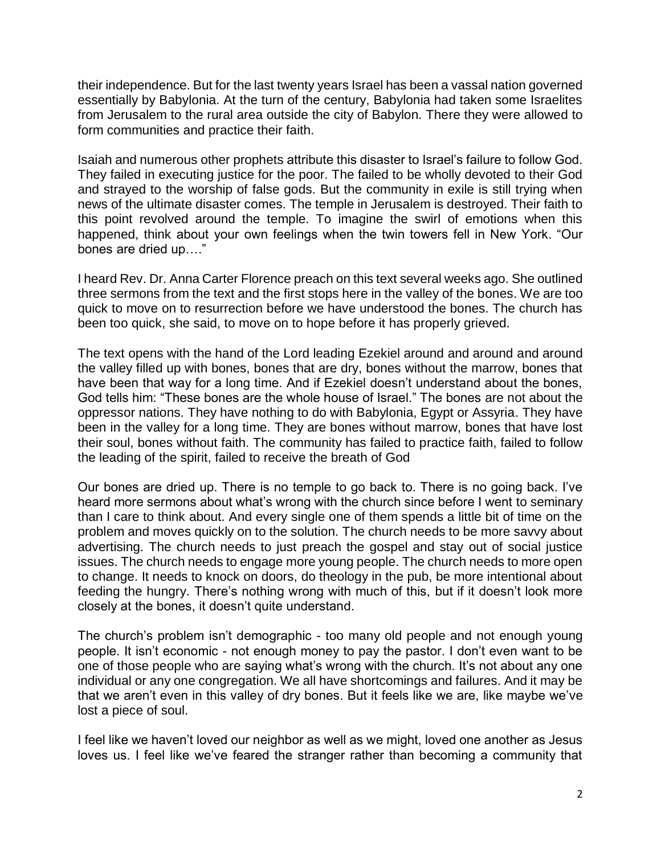their independence. But for the last twenty years Israel has been a vassal nation governed essentially by Babylonia. At the turn of the century, Babylonia had taken some Israelites from Jerusalem to the rural area outside the city of Babylon. There they were allowed to form communities and practice their faith.

Isaiah and numerous other prophets attribute this disaster to Israel's failure to follow God. They failed in executing justice for the poor. The failed to be wholly devoted to their God and strayed to the worship of false gods. But the community in exile is still trying when news of the ultimate disaster comes. The temple in Jerusalem is destroyed. Their faith to this point revolved around the temple. To imagine the swirl of emotions when this happened, think about your own feelings when the twin towers fell in New York. "Our bones are dried up…."

I heard Rev. Dr. Anna Carter Florence preach on this text several weeks ago. She outlined three sermons from the text and the first stops here in the valley of the bones. We are too quick to move on to resurrection before we have understood the bones. The church has been too quick, she said, to move on to hope before it has properly grieved.

The text opens with the hand of the Lord leading Ezekiel around and around and around the valley filled up with bones, bones that are dry, bones without the marrow, bones that have been that way for a long time. And if Ezekiel doesn't understand about the bones, God tells him: "These bones are the whole house of Israel." The bones are not about the oppressor nations. They have nothing to do with Babylonia, Egypt or Assyria. They have been in the valley for a long time. They are bones without marrow, bones that have lost their soul, bones without faith. The community has failed to practice faith, failed to follow the leading of the spirit, failed to receive the breath of God

Our bones are dried up. There is no temple to go back to. There is no going back. I've heard more sermons about what's wrong with the church since before I went to seminary than I care to think about. And every single one of them spends a little bit of time on the problem and moves quickly on to the solution. The church needs to be more savvy about advertising. The church needs to just preach the gospel and stay out of social justice issues. The church needs to engage more young people. The church needs to more open to change. It needs to knock on doors, do theology in the pub, be more intentional about feeding the hungry. There's nothing wrong with much of this, but if it doesn't look more closely at the bones, it doesn't quite understand.

The church's problem isn't demographic - too many old people and not enough young people. It isn't economic - not enough money to pay the pastor. I don't even want to be one of those people who are saying what's wrong with the church. It's not about any one individual or any one congregation. We all have shortcomings and failures. And it may be that we aren't even in this valley of dry bones. But it feels like we are, like maybe we've lost a piece of soul.

I feel like we haven't loved our neighbor as well as we might, loved one another as Jesus loves us. I feel like we've feared the stranger rather than becoming a community that